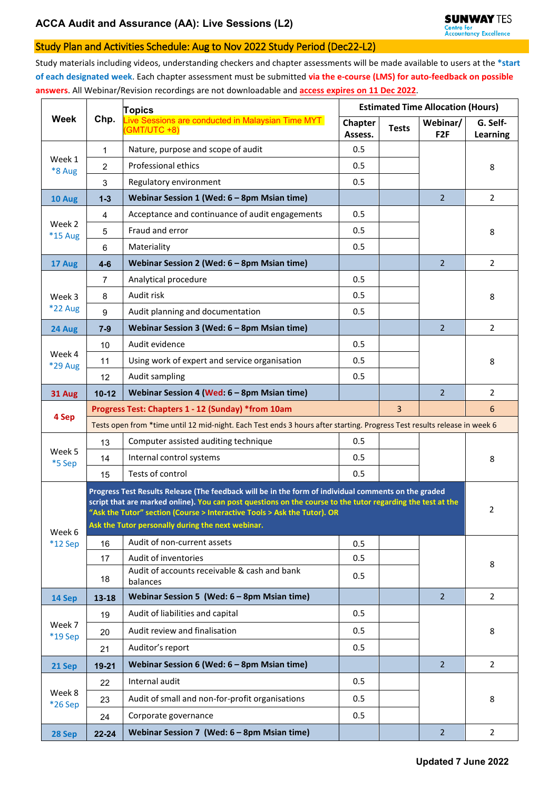## Study Plan and Activities Schedule: Aug to Nov 2022 Study Period (Dec22-L2)

Study materials including videos, understanding checkers and chapter assessments will be made available to users at the **\*start of each designated week**. Each chapter assessment must be submitted **via the e-course (LMS) for auto-feedback on possible answers**. All Webinar/Revision recordings are not downloadable and **access expires on 11 Dec 2022**.

| <b>Week</b>       | Chp.                                                                                                                                                                                                                                                                                            | <b>Topics</b>                                                     | <b>Estimated Time Allocation (Hours)</b> |              |                             |                      |
|-------------------|-------------------------------------------------------------------------------------------------------------------------------------------------------------------------------------------------------------------------------------------------------------------------------------------------|-------------------------------------------------------------------|------------------------------------------|--------------|-----------------------------|----------------------|
|                   |                                                                                                                                                                                                                                                                                                 | Live Sessions are conducted in Malaysian Time MYT<br>(GMT/UTC +8) | Chapter<br>Assess.                       | <b>Tests</b> | Webinar/<br>F <sub>2F</sub> | G. Self-<br>Learning |
| Week 1<br>*8 Aug  | 1                                                                                                                                                                                                                                                                                               | Nature, purpose and scope of audit                                | 0.5                                      |              |                             |                      |
|                   | $\overline{2}$                                                                                                                                                                                                                                                                                  | Professional ethics                                               | 0.5                                      |              |                             | 8                    |
|                   | 3                                                                                                                                                                                                                                                                                               | Regulatory environment                                            | 0.5                                      |              |                             |                      |
| 10 Aug            | $1 - 3$                                                                                                                                                                                                                                                                                         | Webinar Session 1 (Wed: 6 - 8pm Msian time)                       |                                          |              | $\overline{2}$              | $\overline{2}$       |
| Week 2<br>*15 Aug | $\overline{4}$                                                                                                                                                                                                                                                                                  | Acceptance and continuance of audit engagements                   | 0.5                                      |              |                             |                      |
|                   | 5                                                                                                                                                                                                                                                                                               | Fraud and error                                                   | 0.5                                      |              |                             | 8                    |
|                   | 6                                                                                                                                                                                                                                                                                               | Materiality                                                       | 0.5                                      |              |                             |                      |
| 17 Aug            | $4-6$                                                                                                                                                                                                                                                                                           | Webinar Session 2 (Wed: 6 - 8pm Msian time)                       |                                          |              | $\overline{2}$              | 2                    |
|                   | 7                                                                                                                                                                                                                                                                                               | Analytical procedure                                              | 0.5                                      |              |                             |                      |
| Week 3            | 8                                                                                                                                                                                                                                                                                               | Audit risk                                                        | 0.5                                      |              |                             | 8                    |
| $*22$ Aug         | 9                                                                                                                                                                                                                                                                                               | Audit planning and documentation                                  | 0.5                                      |              |                             |                      |
| 24 Aug            | $7 - 9$                                                                                                                                                                                                                                                                                         | Webinar Session 3 (Wed: 6 - 8pm Msian time)                       |                                          |              | $\overline{2}$              | $\overline{2}$       |
|                   | 10                                                                                                                                                                                                                                                                                              | Audit evidence                                                    | 0.5                                      |              |                             |                      |
| Week 4<br>*29 Aug | 11                                                                                                                                                                                                                                                                                              | Using work of expert and service organisation                     | 0.5                                      |              |                             | 8                    |
|                   | 12                                                                                                                                                                                                                                                                                              | Audit sampling                                                    | 0.5                                      |              |                             |                      |
| 31 Aug            | $10 - 12$                                                                                                                                                                                                                                                                                       | Webinar Session 4 (Wed: 6 - 8pm Msian time)                       |                                          |              | $\overline{2}$              | $\overline{2}$       |
| 4 Sep             | Progress Test: Chapters 1 - 12 (Sunday) *from 10am<br>$\overline{3}$                                                                                                                                                                                                                            |                                                                   |                                          |              |                             | 6                    |
|                   | Tests open from *time until 12 mid-night. Each Test ends 3 hours after starting. Progress Test results release in week 6                                                                                                                                                                        |                                                                   |                                          |              |                             |                      |
| Week 5            | 13                                                                                                                                                                                                                                                                                              | Computer assisted auditing technique                              | 0.5                                      |              |                             |                      |
| *5 Sep            | 14                                                                                                                                                                                                                                                                                              | Internal control systems                                          | 0.5                                      |              |                             | 8                    |
|                   | 15                                                                                                                                                                                                                                                                                              | Tests of control                                                  | 0.5                                      |              |                             |                      |
|                   | Progress Test Results Release (The feedback will be in the form of individual comments on the graded<br>script that are marked online). You can post questions on the course to the tutor regarding the test at the<br>"Ask the Tutor" section (Course > Interactive Tools > Ask the Tutor). OR |                                                                   |                                          |              |                             | 2                    |
| Week 6            | Ask the Tutor personally during the next webinar.                                                                                                                                                                                                                                               |                                                                   |                                          |              |                             |                      |
| $*12$ Sep         | 16                                                                                                                                                                                                                                                                                              | Audit of non-current assets                                       | 0.5                                      |              |                             |                      |
|                   | 17                                                                                                                                                                                                                                                                                              | Audit of inventories                                              | 0.5                                      |              |                             | 8                    |
|                   | 18                                                                                                                                                                                                                                                                                              | Audit of accounts receivable & cash and bank<br>balances          | 0.5                                      |              |                             |                      |
| 14 Sep            | 13-18                                                                                                                                                                                                                                                                                           | Webinar Session 5 (Wed: 6 - 8pm Msian time)                       |                                          |              | $2^{\circ}$                 | $\overline{2}$       |
|                   | 19                                                                                                                                                                                                                                                                                              | Audit of liabilities and capital                                  | 0.5                                      |              |                             |                      |
| Week 7<br>*19 Sep | 20                                                                                                                                                                                                                                                                                              | Audit review and finalisation                                     | 0.5                                      |              |                             | 8                    |
|                   | 21                                                                                                                                                                                                                                                                                              | Auditor's report                                                  | 0.5                                      |              |                             |                      |
| 21 Sep            | $19 - 21$                                                                                                                                                                                                                                                                                       | Webinar Session 6 (Wed: 6 - 8pm Msian time)                       |                                          |              | $\overline{2}$              | $\overline{2}$       |
| Week 8<br>*26 Sep | 22                                                                                                                                                                                                                                                                                              | Internal audit                                                    | 0.5                                      |              |                             |                      |
|                   | 23                                                                                                                                                                                                                                                                                              | Audit of small and non-for-profit organisations                   | 0.5                                      |              |                             | 8                    |
|                   | 24                                                                                                                                                                                                                                                                                              | Corporate governance                                              | 0.5                                      |              |                             |                      |
| 28 Sep            | $22 - 24$                                                                                                                                                                                                                                                                                       | Webinar Session 7 (Wed: 6 - 8pm Msian time)                       |                                          |              | $\overline{2}$              | $\overline{2}$       |